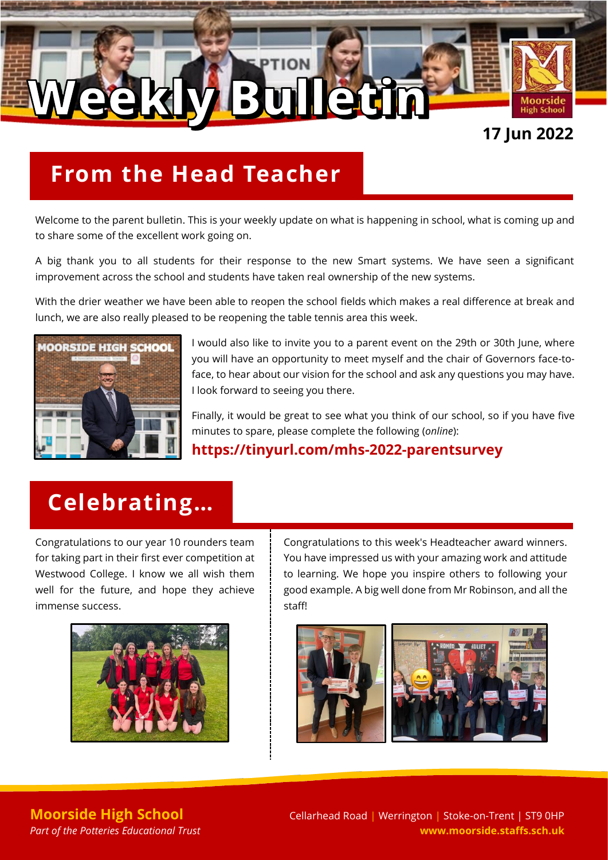

## **From the Head Teacher**

Welcome to the parent bulletin. This is your weekly update on what is happening in school, what is coming up and to share some of the excellent work going on.

A big thank you to all students for their response to the new Smart systems. We have seen a significant improvement across the school and students have taken real ownership of the new systems.

With the drier weather we have been able to reopen the school fields which makes a real difference at break and lunch, we are also really pleased to be reopening the table tennis area this week.



I would also like to invite you to a parent event on the 29th or 30th June, where you will have an opportunity to meet myself and the chair of Governors face-toface, to hear about our vision for the school and ask any questions you may have. I look forward to seeing you there.

Finally, it would be great to see what you think of our school, so if you have five minutes to spare, please complete the following (*online*):

### **<https://tinyurl.com/mhs-2022-parentsurvey>**

# **Celebrating…**

Congratulations to our year 10 rounders team for taking part in their first ever competition at Westwood College. I know we all wish them well for the future, and hope they achieve immense success.



Congratulations to this week's Headteacher award winners. You have impressed us with your amazing work and attitude to learning. We hope you inspire others to following your good example. A big well done from Mr Robinson, and all the staff!